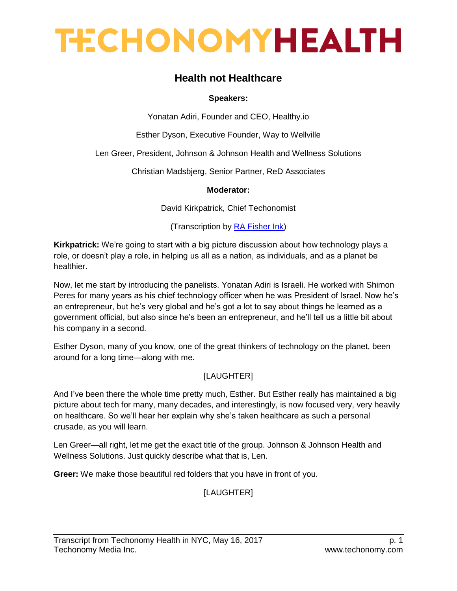## **Health not Healthcare**

### **Speakers:**

Yonatan Adiri, Founder and CEO, Healthy.io

Esther Dyson, Executive Founder, Way to Wellville

Len Greer, President, Johnson & Johnson Health and Wellness Solutions

Christian Madsbjerg, Senior Partner, ReD Associates

### **Moderator:**

[David Kirkpatrick,](http://techonomy.com/participant/david-kirkpatrick/simple) Chief Techonomist

(Transcription by [RA Fisher Ink\)](http://www.rafisherink.com/)

**Kirkpatrick:** We're going to start with a big picture discussion about how technology plays a role, or doesn't play a role, in helping us all as a nation, as individuals, and as a planet be healthier.

Now, let me start by introducing the panelists. Yonatan Adiri is Israeli. He worked with Shimon Peres for many years as his chief technology officer when he was President of Israel. Now he's an entrepreneur, but he's very global and he's got a lot to say about things he learned as a government official, but also since he's been an entrepreneur, and he'll tell us a little bit about his company in a second.

Esther Dyson, many of you know, one of the great thinkers of technology on the planet, been around for a long time—along with me.

## [LAUGHTER]

And I've been there the whole time pretty much, Esther. But Esther really has maintained a big picture about tech for many, many decades, and interestingly, is now focused very, very heavily on healthcare. So we'll hear her explain why she's taken healthcare as such a personal crusade, as you will learn.

Len Greer—all right, let me get the exact title of the group. Johnson & Johnson Health and Wellness Solutions. Just quickly describe what that is, Len.

**Greer:** We make those beautiful red folders that you have in front of you.

## [LAUGHTER]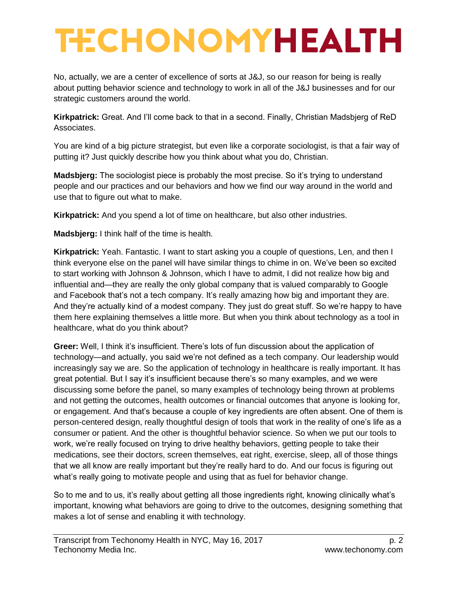No, actually, we are a center of excellence of sorts at J&J, so our reason for being is really about putting behavior science and technology to work in all of the J&J businesses and for our strategic customers around the world.

**Kirkpatrick:** Great. And I'll come back to that in a second. Finally, Christian Madsbjerg of ReD Associates.

You are kind of a big picture strategist, but even like a corporate sociologist, is that a fair way of putting it? Just quickly describe how you think about what you do, Christian.

**Madsbjerg:** The sociologist piece is probably the most precise. So it's trying to understand people and our practices and our behaviors and how we find our way around in the world and use that to figure out what to make.

**Kirkpatrick:** And you spend a lot of time on healthcare, but also other industries.

**Madsbjerg:** I think half of the time is health.

**Kirkpatrick:** Yeah. Fantastic. I want to start asking you a couple of questions, Len, and then I think everyone else on the panel will have similar things to chime in on. We've been so excited to start working with Johnson & Johnson, which I have to admit, I did not realize how big and influential and—they are really the only global company that is valued comparably to Google and Facebook that's not a tech company. It's really amazing how big and important they are. And they're actually kind of a modest company. They just do great stuff. So we're happy to have them here explaining themselves a little more. But when you think about technology as a tool in healthcare, what do you think about?

**Greer:** Well, I think it's insufficient. There's lots of fun discussion about the application of technology—and actually, you said we're not defined as a tech company. Our leadership would increasingly say we are. So the application of technology in healthcare is really important. It has great potential. But I say it's insufficient because there's so many examples, and we were discussing some before the panel, so many examples of technology being thrown at problems and not getting the outcomes, health outcomes or financial outcomes that anyone is looking for, or engagement. And that's because a couple of key ingredients are often absent. One of them is person-centered design, really thoughtful design of tools that work in the reality of one's life as a consumer or patient. And the other is thoughtful behavior science. So when we put our tools to work, we're really focused on trying to drive healthy behaviors, getting people to take their medications, see their doctors, screen themselves, eat right, exercise, sleep, all of those things that we all know are really important but they're really hard to do. And our focus is figuring out what's really going to motivate people and using that as fuel for behavior change.

So to me and to us, it's really about getting all those ingredients right, knowing clinically what's important, knowing what behaviors are going to drive to the outcomes, designing something that makes a lot of sense and enabling it with technology.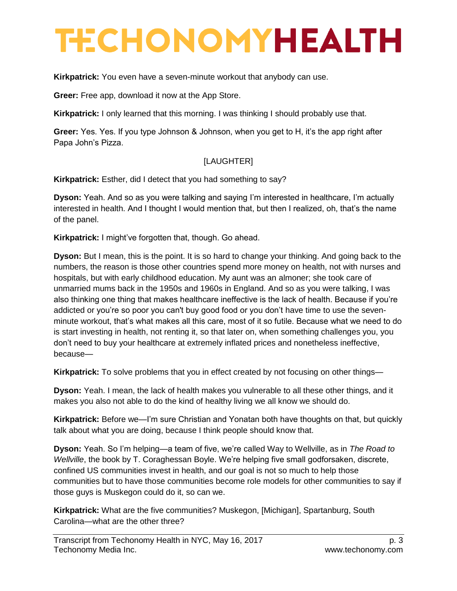**Kirkpatrick:** You even have a seven-minute workout that anybody can use.

**Greer:** Free app, download it now at the App Store.

**Kirkpatrick:** I only learned that this morning. I was thinking I should probably use that.

**Greer:** Yes. Yes. If you type Johnson & Johnson, when you get to H, it's the app right after Papa John's Pizza.

### [LAUGHTER]

**Kirkpatrick:** Esther, did I detect that you had something to say?

**Dyson:** Yeah. And so as you were talking and saying I'm interested in healthcare, I'm actually interested in health. And I thought I would mention that, but then I realized, oh, that's the name of the panel.

**Kirkpatrick:** I might've forgotten that, though. Go ahead.

**Dyson:** But I mean, this is the point. It is so hard to change your thinking. And going back to the numbers, the reason is those other countries spend more money on health, not with nurses and hospitals, but with early childhood education. My aunt was an almoner; she took care of unmarried mums back in the 1950s and 1960s in England. And so as you were talking, I was also thinking one thing that makes healthcare ineffective is the lack of health. Because if you're addicted or you're so poor you can't buy good food or you don't have time to use the sevenminute workout, that's what makes all this care, most of it so futile. Because what we need to do is start investing in health, not renting it, so that later on, when something challenges you, you don't need to buy your healthcare at extremely inflated prices and nonetheless ineffective, because—

**Kirkpatrick:** To solve problems that you in effect created by not focusing on other things—

**Dyson:** Yeah. I mean, the lack of health makes you vulnerable to all these other things, and it makes you also not able to do the kind of healthy living we all know we should do.

**Kirkpatrick:** Before we—I'm sure Christian and Yonatan both have thoughts on that, but quickly talk about what you are doing, because I think people should know that.

**Dyson:** Yeah. So I'm helping—a team of five, we're called Way to Wellville, as in *The Road to Wellville*, the book by T. Coraghessan Boyle. We're helping five small godforsaken, discrete, confined US communities invest in health, and our goal is not so much to help those communities but to have those communities become role models for other communities to say if those guys is Muskegon could do it, so can we.

**Kirkpatrick:** What are the five communities? Muskegon, [Michigan], Spartanburg, South Carolina—what are the other three?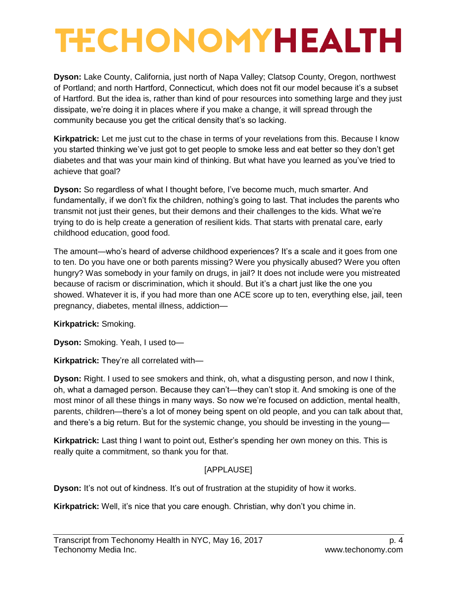**Dyson:** Lake County, California, just north of Napa Valley; Clatsop County, Oregon, northwest of Portland; and north Hartford, Connecticut, which does not fit our model because it's a subset of Hartford. But the idea is, rather than kind of pour resources into something large and they just dissipate, we're doing it in places where if you make a change, it will spread through the community because you get the critical density that's so lacking.

**Kirkpatrick:** Let me just cut to the chase in terms of your revelations from this. Because I know you started thinking we've just got to get people to smoke less and eat better so they don't get diabetes and that was your main kind of thinking. But what have you learned as you've tried to achieve that goal?

**Dyson:** So regardless of what I thought before, I've become much, much smarter. And fundamentally, if we don't fix the children, nothing's going to last. That includes the parents who transmit not just their genes, but their demons and their challenges to the kids. What we're trying to do is help create a generation of resilient kids. That starts with prenatal care, early childhood education, good food.

The amount—who's heard of adverse childhood experiences? It's a scale and it goes from one to ten. Do you have one or both parents missing? Were you physically abused? Were you often hungry? Was somebody in your family on drugs, in jail? It does not include were you mistreated because of racism or discrimination, which it should. But it's a chart just like the one you showed. Whatever it is, if you had more than one ACE score up to ten, everything else, jail, teen pregnancy, diabetes, mental illness, addiction—

**Kirkpatrick:** Smoking.

**Dyson:** Smoking. Yeah, I used to—

**Kirkpatrick:** They're all correlated with—

**Dyson:** Right. I used to see smokers and think, oh, what a disgusting person, and now I think, oh, what a damaged person. Because they can't—they can't stop it. And smoking is one of the most minor of all these things in many ways. So now we're focused on addiction, mental health, parents, children—there's a lot of money being spent on old people, and you can talk about that, and there's a big return. But for the systemic change, you should be investing in the young—

**Kirkpatrick:** Last thing I want to point out, Esther's spending her own money on this. This is really quite a commitment, so thank you for that.

## [APPLAUSE]

**Dyson:** It's not out of kindness. It's out of frustration at the stupidity of how it works.

**Kirkpatrick:** Well, it's nice that you care enough. Christian, why don't you chime in.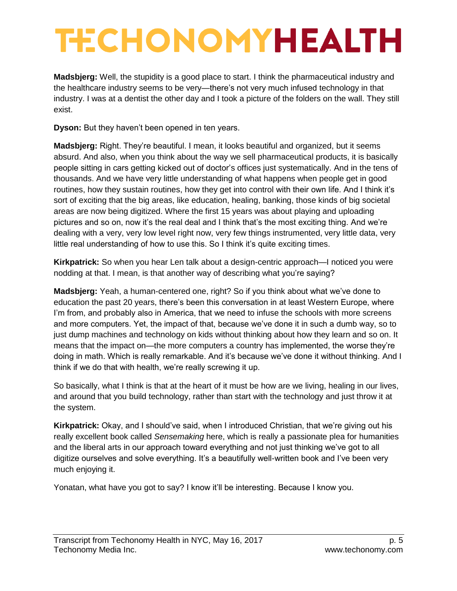**Madsbjerg:** Well, the stupidity is a good place to start. I think the pharmaceutical industry and the healthcare industry seems to be very—there's not very much infused technology in that industry. I was at a dentist the other day and I took a picture of the folders on the wall. They still exist.

**Dyson:** But they haven't been opened in ten years.

**Madsbjerg:** Right. They're beautiful. I mean, it looks beautiful and organized, but it seems absurd. And also, when you think about the way we sell pharmaceutical products, it is basically people sitting in cars getting kicked out of doctor's offices just systematically. And in the tens of thousands. And we have very little understanding of what happens when people get in good routines, how they sustain routines, how they get into control with their own life. And I think it's sort of exciting that the big areas, like education, healing, banking, those kinds of big societal areas are now being digitized. Where the first 15 years was about playing and uploading pictures and so on, now it's the real deal and I think that's the most exciting thing. And we're dealing with a very, very low level right now, very few things instrumented, very little data, very little real understanding of how to use this. So I think it's quite exciting times.

**Kirkpatrick:** So when you hear Len talk about a design-centric approach—I noticed you were nodding at that. I mean, is that another way of describing what you're saying?

**Madsbjerg:** Yeah, a human-centered one, right? So if you think about what we've done to education the past 20 years, there's been this conversation in at least Western Europe, where I'm from, and probably also in America, that we need to infuse the schools with more screens and more computers. Yet, the impact of that, because we've done it in such a dumb way, so to just dump machines and technology on kids without thinking about how they learn and so on. It means that the impact on—the more computers a country has implemented, the worse they're doing in math. Which is really remarkable. And it's because we've done it without thinking. And I think if we do that with health, we're really screwing it up.

So basically, what I think is that at the heart of it must be how are we living, healing in our lives, and around that you build technology, rather than start with the technology and just throw it at the system.

**Kirkpatrick:** Okay, and I should've said, when I introduced Christian, that we're giving out his really excellent book called *Sensemaking* here, which is really a passionate plea for humanities and the liberal arts in our approach toward everything and not just thinking we've got to all digitize ourselves and solve everything. It's a beautifully well-written book and I've been very much enjoying it.

Yonatan, what have you got to say? I know it'll be interesting. Because I know you.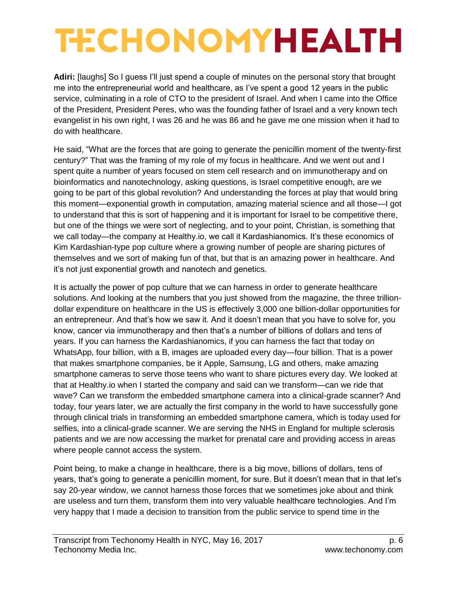**Adiri:** [laughs] So I guess I'll just spend a couple of minutes on the personal story that brought me into the entrepreneurial world and healthcare, as I've spent a good 12 years in the public service, culminating in a role of CTO to the president of Israel. And when I came into the Office of the President, President Peres, who was the founding father of Israel and a very known tech evangelist in his own right, I was 26 and he was 86 and he gave me one mission when it had to do with healthcare.

He said, "What are the forces that are going to generate the penicillin moment of the twenty-first century?" That was the framing of my role of my focus in healthcare. And we went out and I spent quite a number of years focused on stem cell research and on immunotherapy and on bioinformatics and nanotechnology, asking questions, is Israel competitive enough, are we going to be part of this global revolution? And understanding the forces at play that would bring this moment—exponential growth in computation, amazing material science and all those—I got to understand that this is sort of happening and it is important for Israel to be competitive there, but one of the things we were sort of neglecting, and to your point, Christian, is something that we call today—the company at Healthy.io, we call it Kardashianomics. It's these economics of Kim Kardashian-type pop culture where a growing number of people are sharing pictures of themselves and we sort of making fun of that, but that is an amazing power in healthcare. And it's not just exponential growth and nanotech and genetics.

It is actually the power of pop culture that we can harness in order to generate healthcare solutions. And looking at the numbers that you just showed from the magazine, the three trilliondollar expenditure on healthcare in the US is effectively 3,000 one billion-dollar opportunities for an entrepreneur. And that's how we saw it. And it doesn't mean that you have to solve for, you know, cancer via immunotherapy and then that's a number of billions of dollars and tens of years. If you can harness the Kardashianomics, if you can harness the fact that today on WhatsApp, four billion, with a B, images are uploaded every day—four billion. That is a power that makes smartphone companies, be it Apple, Samsung, LG and others, make amazing smartphone cameras to serve those teens who want to share pictures every day. We looked at that at Healthy.io when I started the company and said can we transform—can we ride that wave? Can we transform the embedded smartphone camera into a clinical-grade scanner? And today, four years later, we are actually the first company in the world to have successfully gone through clinical trials in transforming an embedded smartphone camera, which is today used for selfies, into a clinical-grade scanner. We are serving the NHS in England for multiple sclerosis patients and we are now accessing the market for prenatal care and providing access in areas where people cannot access the system.

Point being, to make a change in healthcare, there is a big move, billions of dollars, tens of years, that's going to generate a penicillin moment, for sure. But it doesn't mean that in that let's say 20-year window, we cannot harness those forces that we sometimes joke about and think are useless and turn them, transform them into very valuable healthcare technologies. And I'm very happy that I made a decision to transition from the public service to spend time in the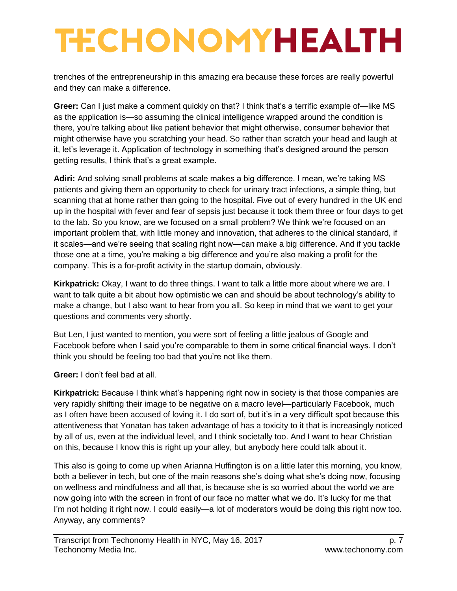trenches of the entrepreneurship in this amazing era because these forces are really powerful and they can make a difference.

**Greer:** Can I just make a comment quickly on that? I think that's a terrific example of—like MS as the application is—so assuming the clinical intelligence wrapped around the condition is there, you're talking about like patient behavior that might otherwise, consumer behavior that might otherwise have you scratching your head. So rather than scratch your head and laugh at it, let's leverage it. Application of technology in something that's designed around the person getting results, I think that's a great example.

**Adiri:** And solving small problems at scale makes a big difference. I mean, we're taking MS patients and giving them an opportunity to check for urinary tract infections, a simple thing, but scanning that at home rather than going to the hospital. Five out of every hundred in the UK end up in the hospital with fever and fear of sepsis just because it took them three or four days to get to the lab. So you know, are we focused on a small problem? We think we're focused on an important problem that, with little money and innovation, that adheres to the clinical standard, if it scales—and we're seeing that scaling right now—can make a big difference. And if you tackle those one at a time, you're making a big difference and you're also making a profit for the company. This is a for-profit activity in the startup domain, obviously.

**Kirkpatrick:** Okay, I want to do three things. I want to talk a little more about where we are. I want to talk quite a bit about how optimistic we can and should be about technology's ability to make a change, but I also want to hear from you all. So keep in mind that we want to get your questions and comments very shortly.

But Len, I just wanted to mention, you were sort of feeling a little jealous of Google and Facebook before when I said you're comparable to them in some critical financial ways. I don't think you should be feeling too bad that you're not like them.

**Greer:** I don't feel bad at all.

**Kirkpatrick:** Because I think what's happening right now in society is that those companies are very rapidly shifting their image to be negative on a macro level—particularly Facebook, much as I often have been accused of loving it. I do sort of, but it's in a very difficult spot because this attentiveness that Yonatan has taken advantage of has a toxicity to it that is increasingly noticed by all of us, even at the individual level, and I think societally too. And I want to hear Christian on this, because I know this is right up your alley, but anybody here could talk about it.

This also is going to come up when Arianna Huffington is on a little later this morning, you know, both a believer in tech, but one of the main reasons she's doing what she's doing now, focusing on wellness and mindfulness and all that, is because she is so worried about the world we are now going into with the screen in front of our face no matter what we do. It's lucky for me that I'm not holding it right now. I could easily—a lot of moderators would be doing this right now too. Anyway, any comments?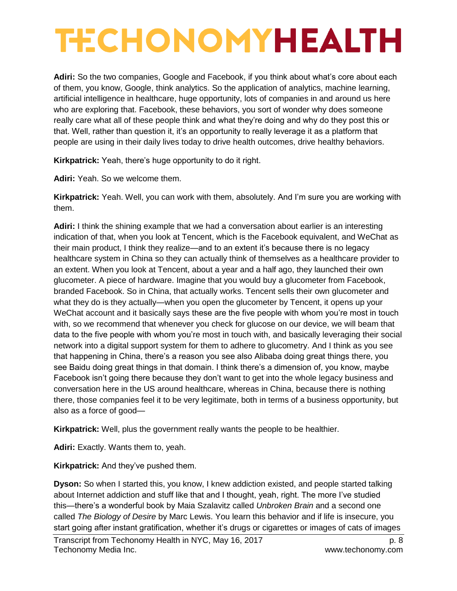**Adiri:** So the two companies, Google and Facebook, if you think about what's core about each of them, you know, Google, think analytics. So the application of analytics, machine learning, artificial intelligence in healthcare, huge opportunity, lots of companies in and around us here who are exploring that. Facebook, these behaviors, you sort of wonder why does someone really care what all of these people think and what they're doing and why do they post this or that. Well, rather than question it, it's an opportunity to really leverage it as a platform that people are using in their daily lives today to drive health outcomes, drive healthy behaviors.

**Kirkpatrick:** Yeah, there's huge opportunity to do it right.

**Adiri:** Yeah. So we welcome them.

**Kirkpatrick:** Yeah. Well, you can work with them, absolutely. And I'm sure you are working with them.

**Adiri:** I think the shining example that we had a conversation about earlier is an interesting indication of that, when you look at Tencent, which is the Facebook equivalent, and WeChat as their main product, I think they realize—and to an extent it's because there is no legacy healthcare system in China so they can actually think of themselves as a healthcare provider to an extent. When you look at Tencent, about a year and a half ago, they launched their own glucometer. A piece of hardware. Imagine that you would buy a glucometer from Facebook, branded Facebook. So in China, that actually works. Tencent sells their own glucometer and what they do is they actually—when you open the glucometer by Tencent, it opens up your WeChat account and it basically says these are the five people with whom you're most in touch with, so we recommend that whenever you check for glucose on our device, we will beam that data to the five people with whom you're most in touch with, and basically leveraging their social network into a digital support system for them to adhere to glucometry. And I think as you see that happening in China, there's a reason you see also Alibaba doing great things there, you see Baidu doing great things in that domain. I think there's a dimension of, you know, maybe Facebook isn't going there because they don't want to get into the whole legacy business and conversation here in the US around healthcare, whereas in China, because there is nothing there, those companies feel it to be very legitimate, both in terms of a business opportunity, but also as a force of good—

**Kirkpatrick:** Well, plus the government really wants the people to be healthier.

**Adiri:** Exactly. Wants them to, yeah.

**Kirkpatrick:** And they've pushed them.

**Dyson:** So when I started this, you know, I knew addiction existed, and people started talking about Internet addiction and stuff like that and I thought, yeah, right. The more I've studied this—there's a wonderful book by Maia Szalavitz called *Unbroken Brain* and a second one called *The Biology of Desire* by Marc Lewis. You learn this behavior and if life is insecure, you start going after instant gratification, whether it's drugs or cigarettes or images of cats of images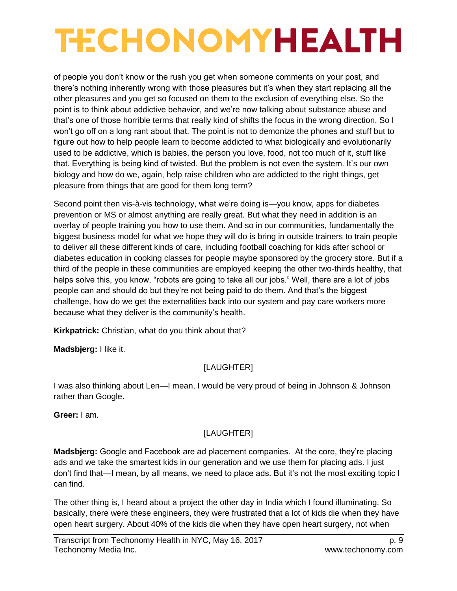of people you don't know or the rush you get when someone comments on your post, and there's nothing inherently wrong with those pleasures but it's when they start replacing all the other pleasures and you get so focused on them to the exclusion of everything else. So the point is to think about addictive behavior, and we're now talking about substance abuse and that's one of those horrible terms that really kind of shifts the focus in the wrong direction. So I won't go off on a long rant about that. The point is not to demonize the phones and stuff but to figure out how to help people learn to become addicted to what biologically and evolutionarily used to be addictive, which is babies, the person you love, food, not too much of it, stuff like that. Everything is being kind of twisted. But the problem is not even the system. It's our own biology and how do we, again, help raise children who are addicted to the right things, get pleasure from things that are good for them long term?

Second point then vis-à-vis technology, what we're doing is—you know, apps for diabetes prevention or MS or almost anything are really great. But what they need in addition is an overlay of people training you how to use them. And so in our communities, fundamentally the biggest business model for what we hope they will do is bring in outside trainers to train people to deliver all these different kinds of care, including football coaching for kids after school or diabetes education in cooking classes for people maybe sponsored by the grocery store. But if a third of the people in these communities are employed keeping the other two-thirds healthy, that helps solve this, you know, "robots are going to take all our jobs." Well, there are a lot of jobs people can and should do but they're not being paid to do them. And that's the biggest challenge, how do we get the externalities back into our system and pay care workers more because what they deliver is the community's health.

**Kirkpatrick:** Christian, what do you think about that?

**Madsbjerg:** I like it.

### [LAUGHTER]

I was also thinking about Len—I mean, I would be very proud of being in Johnson & Johnson rather than Google.

**Greer:** I am.

## [LAUGHTER]

**Madsbjerg:** Google and Facebook are ad placement companies. At the core, they're placing ads and we take the smartest kids in our generation and we use them for placing ads. I just don't find that—I mean, by all means, we need to place ads. But it's not the most exciting topic I can find.

The other thing is, I heard about a project the other day in India which I found illuminating. So basically, there were these engineers, they were frustrated that a lot of kids die when they have open heart surgery. About 40% of the kids die when they have open heart surgery, not when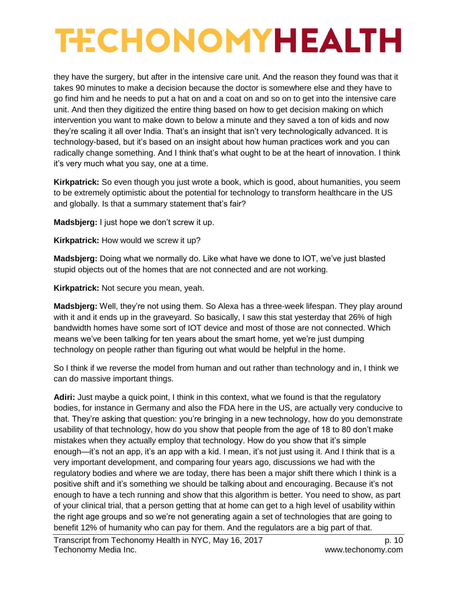they have the surgery, but after in the intensive care unit. And the reason they found was that it takes 90 minutes to make a decision because the doctor is somewhere else and they have to go find him and he needs to put a hat on and a coat on and so on to get into the intensive care unit. And then they digitized the entire thing based on how to get decision making on which intervention you want to make down to below a minute and they saved a ton of kids and now they're scaling it all over India. That's an insight that isn't very technologically advanced. It is technology-based, but it's based on an insight about how human practices work and you can radically change something. And I think that's what ought to be at the heart of innovation. I think it's very much what you say, one at a time.

**Kirkpatrick:** So even though you just wrote a book, which is good, about humanities, you seem to be extremely optimistic about the potential for technology to transform healthcare in the US and globally. Is that a summary statement that's fair?

**Madsbjerg:** I just hope we don't screw it up.

**Kirkpatrick:** How would we screw it up?

**Madsbjerg:** Doing what we normally do. Like what have we done to IOT, we've just blasted stupid objects out of the homes that are not connected and are not working.

**Kirkpatrick:** Not secure you mean, yeah.

**Madsbjerg:** Well, they're not using them. So Alexa has a three-week lifespan. They play around with it and it ends up in the graveyard. So basically, I saw this stat yesterday that 26% of high bandwidth homes have some sort of IOT device and most of those are not connected. Which means we've been talking for ten years about the smart home, yet we're just dumping technology on people rather than figuring out what would be helpful in the home.

So I think if we reverse the model from human and out rather than technology and in, I think we can do massive important things.

**Adiri:** Just maybe a quick point, I think in this context, what we found is that the regulatory bodies, for instance in Germany and also the FDA here in the US, are actually very conducive to that. They're asking that question: you're bringing in a new technology, how do you demonstrate usability of that technology, how do you show that people from the age of 18 to 80 don't make mistakes when they actually employ that technology. How do you show that it's simple enough—it's not an app, it's an app with a kid. I mean, it's not just using it. And I think that is a very important development, and comparing four years ago, discussions we had with the regulatory bodies and where we are today, there has been a major shift there which I think is a positive shift and it's something we should be talking about and encouraging. Because it's not enough to have a tech running and show that this algorithm is better. You need to show, as part of your clinical trial, that a person getting that at home can get to a high level of usability within the right age groups and so we're not generating again a set of technologies that are going to benefit 12% of humanity who can pay for them. And the regulators are a big part of that.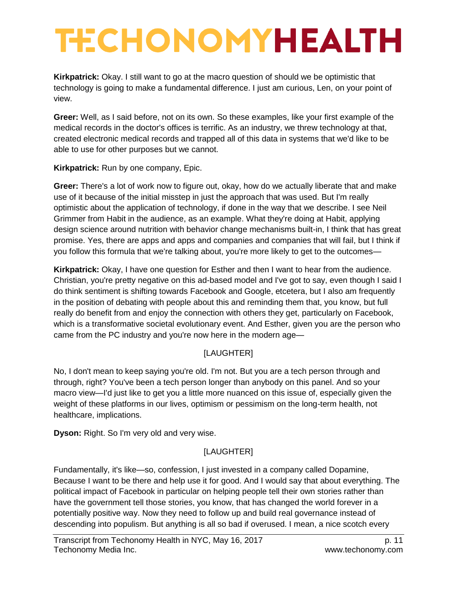**Kirkpatrick:** Okay. I still want to go at the macro question of should we be optimistic that technology is going to make a fundamental difference. I just am curious, Len, on your point of view.

**Greer:** Well, as I said before, not on its own. So these examples, like your first example of the medical records in the doctor's offices is terrific. As an industry, we threw technology at that, created electronic medical records and trapped all of this data in systems that we'd like to be able to use for other purposes but we cannot.

**Kirkpatrick:** Run by one company, Epic.

**Greer:** There's a lot of work now to figure out, okay, how do we actually liberate that and make use of it because of the initial misstep in just the approach that was used. But I'm really optimistic about the application of technology, if done in the way that we describe. I see Neil Grimmer from Habit in the audience, as an example. What they're doing at Habit, applying design science around nutrition with behavior change mechanisms built-in, I think that has great promise. Yes, there are apps and apps and companies and companies that will fail, but I think if you follow this formula that we're talking about, you're more likely to get to the outcomes—

**Kirkpatrick:** Okay, I have one question for Esther and then I want to hear from the audience. Christian, you're pretty negative on this ad-based model and I've got to say, even though I said I do think sentiment is shifting towards Facebook and Google, etcetera, but I also am frequently in the position of debating with people about this and reminding them that, you know, but full really do benefit from and enjoy the connection with others they get, particularly on Facebook, which is a transformative societal evolutionary event. And Esther, given you are the person who came from the PC industry and you're now here in the modern age—

## [LAUGHTER]

No, I don't mean to keep saying you're old. I'm not. But you are a tech person through and through, right? You've been a tech person longer than anybody on this panel. And so your macro view—I'd just like to get you a little more nuanced on this issue of, especially given the weight of these platforms in our lives, optimism or pessimism on the long-term health, not healthcare, implications.

**Dyson:** Right. So I'm very old and very wise.

## [LAUGHTER]

Fundamentally, it's like—so, confession, I just invested in a company called Dopamine, Because I want to be there and help use it for good. And I would say that about everything. The political impact of Facebook in particular on helping people tell their own stories rather than have the government tell those stories, you know, that has changed the world forever in a potentially positive way. Now they need to follow up and build real governance instead of descending into populism. But anything is all so bad if overused. I mean, a nice scotch every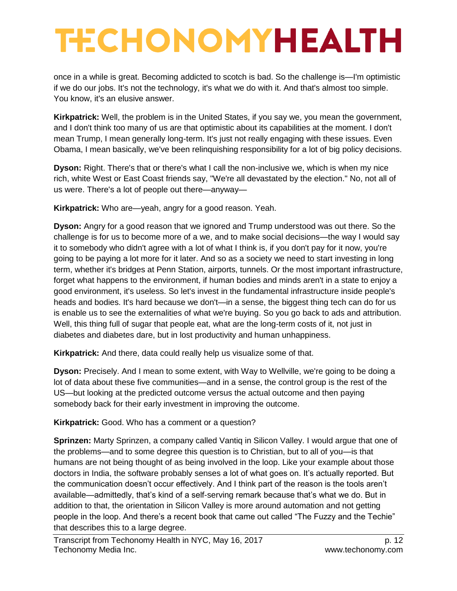once in a while is great. Becoming addicted to scotch is bad. So the challenge is—I'm optimistic if we do our jobs. It's not the technology, it's what we do with it. And that's almost too simple. You know, it's an elusive answer.

**Kirkpatrick:** Well, the problem is in the United States, if you say we, you mean the government, and I don't think too many of us are that optimistic about its capabilities at the moment. I don't mean Trump, I mean generally long-term. It's just not really engaging with these issues. Even Obama, I mean basically, we've been relinquishing responsibility for a lot of big policy decisions.

**Dyson:** Right. There's that or there's what I call the non-inclusive we, which is when my nice rich, white West or East Coast friends say, "We're all devastated by the election." No, not all of us were. There's a lot of people out there—anyway—

**Kirkpatrick:** Who are—yeah, angry for a good reason. Yeah.

**Dyson:** Angry for a good reason that we ignored and Trump understood was out there. So the challenge is for us to become more of a we, and to make social decisions—the way I would say it to somebody who didn't agree with a lot of what I think is, if you don't pay for it now, you're going to be paying a lot more for it later. And so as a society we need to start investing in long term, whether it's bridges at Penn Station, airports, tunnels. Or the most important infrastructure, forget what happens to the environment, if human bodies and minds aren't in a state to enjoy a good environment, it's useless. So let's invest in the fundamental infrastructure inside people's heads and bodies. It's hard because we don't—in a sense, the biggest thing tech can do for us is enable us to see the externalities of what we're buying. So you go back to ads and attribution. Well, this thing full of sugar that people eat, what are the long-term costs of it, not just in diabetes and diabetes dare, but in lost productivity and human unhappiness.

**Kirkpatrick:** And there, data could really help us visualize some of that.

**Dyson:** Precisely. And I mean to some extent, with Way to Wellville, we're going to be doing a lot of data about these five communities—and in a sense, the control group is the rest of the US—but looking at the predicted outcome versus the actual outcome and then paying somebody back for their early investment in improving the outcome.

**Kirkpatrick:** Good. Who has a comment or a question?

**Sprinzen:** Marty Sprinzen, a company called Vantiq in Silicon Valley. I would argue that one of the problems—and to some degree this question is to Christian, but to all of you—is that humans are not being thought of as being involved in the loop. Like your example about those doctors in India, the software probably senses a lot of what goes on. It's actually reported. But the communication doesn't occur effectively. And I think part of the reason is the tools aren't available—admittedly, that's kind of a self-serving remark because that's what we do. But in addition to that, the orientation in Silicon Valley is more around automation and not getting people in the loop. And there's a recent book that came out called "The Fuzzy and the Techie" that describes this to a large degree.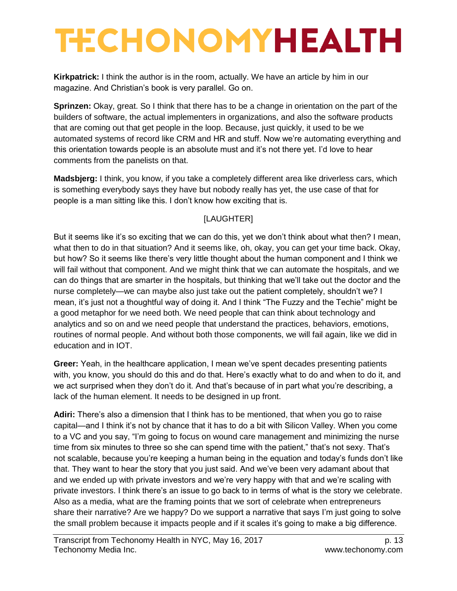**Kirkpatrick:** I think the author is in the room, actually. We have an article by him in our magazine. And Christian's book is very parallel. Go on.

**Sprinzen:** Okay, great. So I think that there has to be a change in orientation on the part of the builders of software, the actual implementers in organizations, and also the software products that are coming out that get people in the loop. Because, just quickly, it used to be we automated systems of record like CRM and HR and stuff. Now we're automating everything and this orientation towards people is an absolute must and it's not there yet. I'd love to hear comments from the panelists on that.

**Madsbjerg:** I think, you know, if you take a completely different area like driverless cars, which is something everybody says they have but nobody really has yet, the use case of that for people is a man sitting like this. I don't know how exciting that is.

## [LAUGHTER]

But it seems like it's so exciting that we can do this, yet we don't think about what then? I mean, what then to do in that situation? And it seems like, oh, okay, you can get your time back. Okay, but how? So it seems like there's very little thought about the human component and I think we will fail without that component. And we might think that we can automate the hospitals, and we can do things that are smarter in the hospitals, but thinking that we'll take out the doctor and the nurse completely—we can maybe also just take out the patient completely, shouldn't we? I mean, it's just not a thoughtful way of doing it. And I think "The Fuzzy and the Techie" might be a good metaphor for we need both. We need people that can think about technology and analytics and so on and we need people that understand the practices, behaviors, emotions, routines of normal people. And without both those components, we will fail again, like we did in education and in IOT.

**Greer:** Yeah, in the healthcare application, I mean we've spent decades presenting patients with, you know, you should do this and do that. Here's exactly what to do and when to do it, and we act surprised when they don't do it. And that's because of in part what you're describing, a lack of the human element. It needs to be designed in up front.

**Adiri:** There's also a dimension that I think has to be mentioned, that when you go to raise capital—and I think it's not by chance that it has to do a bit with Silicon Valley. When you come to a VC and you say, "I'm going to focus on wound care management and minimizing the nurse time from six minutes to three so she can spend time with the patient," that's not sexy. That's not scalable, because you're keeping a human being in the equation and today's funds don't like that. They want to hear the story that you just said. And we've been very adamant about that and we ended up with private investors and we're very happy with that and we're scaling with private investors. I think there's an issue to go back to in terms of what is the story we celebrate. Also as a media, what are the framing points that we sort of celebrate when entrepreneurs share their narrative? Are we happy? Do we support a narrative that says I'm just going to solve the small problem because it impacts people and if it scales it's going to make a big difference.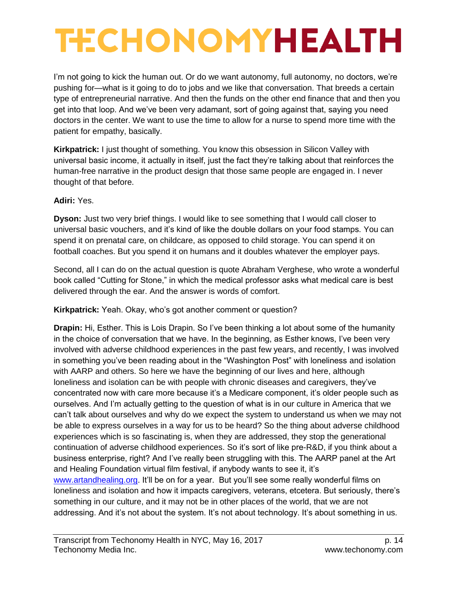I'm not going to kick the human out. Or do we want autonomy, full autonomy, no doctors, we're pushing for—what is it going to do to jobs and we like that conversation. That breeds a certain type of entrepreneurial narrative. And then the funds on the other end finance that and then you get into that loop. And we've been very adamant, sort of going against that, saying you need doctors in the center. We want to use the time to allow for a nurse to spend more time with the patient for empathy, basically.

**Kirkpatrick:** I just thought of something. You know this obsession in Silicon Valley with universal basic income, it actually in itself, just the fact they're talking about that reinforces the human-free narrative in the product design that those same people are engaged in. I never thought of that before.

#### **Adiri:** Yes.

**Dyson:** Just two very brief things. I would like to see something that I would call closer to universal basic vouchers, and it's kind of like the double dollars on your food stamps. You can spend it on prenatal care, on childcare, as opposed to child storage. You can spend it on football coaches. But you spend it on humans and it doubles whatever the employer pays.

Second, all I can do on the actual question is quote Abraham Verghese, who wrote a wonderful book called "Cutting for Stone," in which the medical professor asks what medical care is best delivered through the ear. And the answer is words of comfort.

**Kirkpatrick:** Yeah. Okay, who's got another comment or question?

**Drapin:** Hi, Esther. This is Lois Drapin. So I've been thinking a lot about some of the humanity in the choice of conversation that we have. In the beginning, as Esther knows, I've been very involved with adverse childhood experiences in the past few years, and recently, I was involved in something you've been reading about in the "Washington Post" with loneliness and isolation with AARP and others. So here we have the beginning of our lives and here, although loneliness and isolation can be with people with chronic diseases and caregivers, they've concentrated now with care more because it's a Medicare component, it's older people such as ourselves. And I'm actually getting to the question of what is in our culture in America that we can't talk about ourselves and why do we expect the system to understand us when we may not be able to express ourselves in a way for us to be heard? So the thing about adverse childhood experiences which is so fascinating is, when they are addressed, they stop the generational continuation of adverse childhood experiences. So it's sort of like pre-R&D, if you think about a business enterprise, right? And I've really been struggling with this. The AARP panel at the Art and Healing Foundation virtual film festival, if anybody wants to see it, it's [www.artandhealing.org.](http://www.artandhealing.org/) It'll be on for a year. But you'll see some really wonderful films on

loneliness and isolation and how it impacts caregivers, veterans, etcetera. But seriously, there's something in our culture, and it may not be in other places of the world, that we are not addressing. And it's not about the system. It's not about technology. It's about something in us.